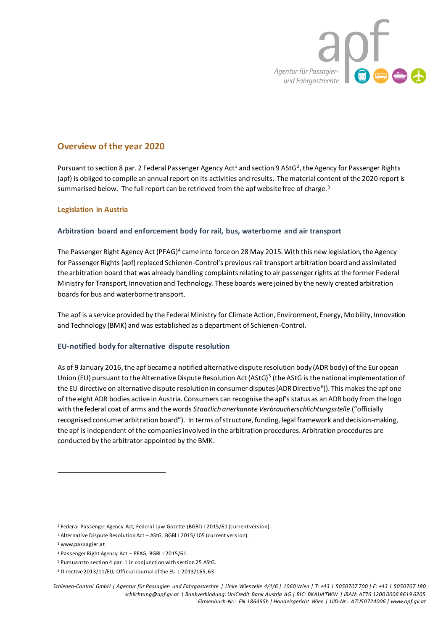

# **Overview of the year 2020**

Pursuant to section 8 par. 2 Federal Passenger Agency Act<sup>1</sup> and section 9 AStG<sup>2</sup>, the Agency for Passenger Rights (apf) is obliged to compile an annual report on its activities and results. The material content of the 2020 report is summarised below. The full report can be retrieved from the apf website free of charge. $3$ 

## **Legislation in Austria**

## **Arbitration board and enforcement body for rail, bus, waterborne and air transport**

The Passenger Right Agency Act (PFAG)<sup>4</sup> came into force on 28 May 2015. With this new legislation, the Agency for Passenger Rights (apf) replaced Schienen-Control's previous rail transport arbitration board and assimilated the arbitration board that was already handling complaints relating to air passenger rights at the former Federal Ministry for Transport, Innovation and Technology. These boards were joined by the newly created arbitration boards for bus and waterborne transport.

The apf is a service provided by the Federal Ministry for Climate Action, Environment, Energy, Mobility, Innovation and Technology (BMK) and was established as a department of Schienen-Control.

## **EU-notified body for alternative dispute resolution**

As of 9 January 2016, the apf became a notified alternative dispute resolution body (ADR body) of the European Union (EU) pursuant to the Alternative Dispute Resolution Act (AStG)<sup>5</sup> (the AStG is the national implementation of the EU directive on alternative dispute resolution in consumer disputes (ADR Directive<sup>6</sup>)). This makes the apf one of the eight ADR bodies active in Austria. Consumers can recognise the apf's status as an ADR body from the logo with the federal coat of arms and the words *Staatlich anerkannte Verbraucherschlichtungsstelle* ("officially recognised consumer arbitration board"). In terms of structure, funding, legal framework and decision-making, the apf is independent of the companies involved in the arbitration procedures. Arbitration procedures are conducted by the arbitrator appointed by the BMK.

**.** 

<sup>1</sup> Federal Passenger Agency Act, Federal Law Gazette (BGBl) I 2015/61 (current version).

<sup>2</sup> Alternative Dispute Resolution Act – AStG, BGBl I 2015/105 (current version).

<sup>3</sup> www.passagier.at

<sup>4</sup> Passenger Right Agency Act – PFAG, BGBl I 2015/61.

<sup>5</sup> Pursuant to section 4 par. 1 in conjunction with section 25 AStG.

<sup>6</sup> Directive 2013/11/EU, Official Journal of the EU L 2013/165, 63.

Schienen-Control GmbH | Agentur für Passagier- und Fahrgastrechte | Linke Wienzeile 4/1/6 | 1060 Wien | T: +43 1 5050707 700 | F: +43 1 5050707 180 *schlichtung@apf.gv.at | Bankverbindung: UniCredit Bank Austria AG | BIC: BKAUATWW | IBAN: AT76 1200 0006 8619 6205 Firmenbuch-Nr.: FN 186495h | Handelsgericht Wien | UID-Nr.: ATU50724006 | www.apf.gv.at*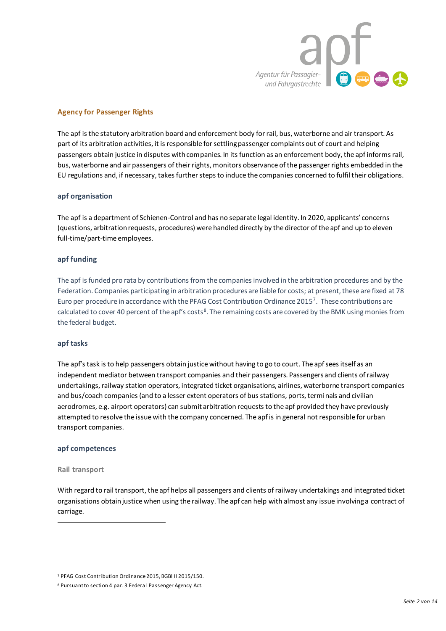

## **Agency for Passenger Rights**

The apf is the statutory arbitration board and enforcement body for rail, bus, waterborne and air transport. As part of its arbitration activities, it is responsible for settling passenger complaints out of court and helping passengers obtain justice in disputes with companies. In its function as an enforcement body, the apf informs rail, bus, waterborne and air passengers of their rights, monitors observance of the passenger rights embedded in the EU regulations and, if necessary, takes further steps to induce the companies concerned to fulfil their obligations.

## **apf organisation**

The apf is a department of Schienen-Control and has no separate legal identity. In 2020, applicants' concerns (questions, arbitration requests, procedures) were handled directly by the director of the apf and up to eleven full-time/part-time employees.

## **apf funding**

The apf is funded pro rata by contributions from the companies involved in the arbitration procedures and by the Federation. Companies participating in arbitration procedures are liable for costs; at present, these are fixed at 78 Euro per procedure in accordance with the PFAG Cost Contribution Ordinance 2015<sup>7</sup>. These contributions are calculated to cover 40 percent of the apf's costs<sup>8</sup>. The remaining costs are covered by the BMK using monies from the federal budget.

#### **apf tasks**

The apf's task is to help passengers obtain justice without having to go to court. The apf sees itself as an independent mediator between transport companies and their passengers. Passengers and clients of railway undertakings, railway station operators, integrated ticket organisations, airlines, waterborne transport companies and bus/coach companies (and to a lesser extent operators of bus stations, ports, terminals and civilian aerodromes, e.g. airport operators) can submit arbitration requests to the apf provided they have previously attempted to resolve the issue with the company concerned. The apf is in general not responsible for urban transport companies.

#### **apf competences**

#### **Rail transport**

**.** 

With regard to rail transport, the apf helps all passengers and clients of railway undertakings and integrated ticket organisations obtain justice when using the railway. The apf can help with almost any issue involving a contract of carriage.

<sup>7</sup> PFAG Cost Contribution Ordinance 2015, BGBl II 2015/150.

<sup>8</sup> Pursuant to section 4 par. 3 Federal Passenger Agency Act.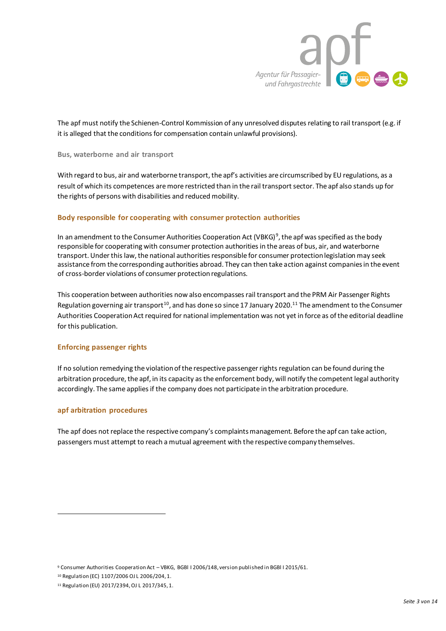

The apf must notify the Schienen-Control Kommission of any unresolved disputes relating to rail transport (e.g. if it is alleged that the conditions for compensation contain unlawful provisions).

#### **Bus, waterborne and air transport**

With regard to bus, air and waterborne transport, the apf's activities are circumscribed by EU regulations, as a result of which its competences are more restricted than in the rail transport sector. The apf also stands up for the rights of persons with disabilities and reduced mobility.

#### **Body responsible for cooperating with consumer protection authorities**

In an amendment to the Consumer Authorities Cooperation Act (VBKG)<sup>9</sup>, the apf was specified as the body responsible for cooperating with consumer protection authorities in the areas of bus, air, and waterborne transport. Under this law, the national authorities responsible for consumer protection legislation may seek assistance from the corresponding authorities abroad. They can then take action against companies in the event of cross-border violations of consumer protection regulations.

This cooperation between authorities now also encompasses rail transport and the PRM Air Passenger Rights Regulation governing air transport<sup>10</sup>, and has done so since 17 January 2020.<sup>11</sup> The amendment to the Consumer Authorities Cooperation Act required for national implementation was not yet in force as of the editorial deadline for this publication.

#### **Enforcing passenger rights**

If no solution remedying the violation of the respective passenger rights regulation can be found during the arbitration procedure, the apf, in its capacity as the enforcement body, will notify the competent legal authority accordingly. The same applies if the company does not participate in the arbitration procedure.

## **apf arbitration procedures**

**.** 

The apf does not replace the respective company's complaints management. Before the apf can take action, passengers must attempt to reach a mutual agreement with the respective company themselves.

<sup>9</sup> Consumer Authorities Cooperation Act – VBKG, BGBl I 2006/148, version published in BGBl I 2015/61.

<sup>10</sup> Regulation (EC) 1107/2006 OJ L 2006/204, 1.

<sup>11</sup> Regulation (EU) 2017/2394, OJ L 2017/345, 1.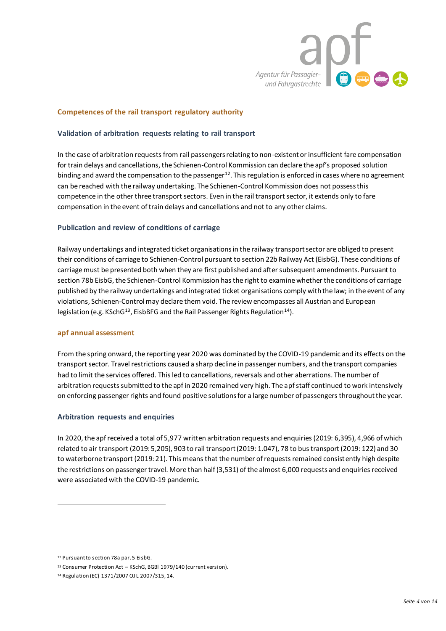

## **Competences of the rail transport regulatory authority**

#### **Validation of arbitration requests relating to rail transport**

In the case of arbitration requests from rail passengers relating to non-existent or insufficient fare compensation for train delays and cancellations, the Schienen-Control Kommission can declare the apf's proposed solution binding and award the compensation to the passenger $12$ . This regulation is enforced in cases where no agreement can be reached with the railway undertaking. The Schienen-Control Kommission does not possess this competence in the other three transport sectors. Even in the rail transport sector, it extends only to fare compensation in the event of train delays and cancellations and not to any other claims.

#### **Publication and review of conditions of carriage**

Railway undertakings and integrated ticket organisations in the railway transport sector are obliged to present their conditions of carriage to Schienen-Control pursuant to section 22b Railway Act (EisbG). These conditions of carriage must be presented both when they are first published and after subsequent amendments. Pursuant to section 78b EisbG, the Schienen-Control Kommission has the right to examine whether the conditions of carriage published by the railway undertakings and integrated ticket organisations comply with the law; in the event of any violations, Schienen-Control may declare them void. The review encompasses all Austrian and European legislation (e.g. KSchG<sup>13</sup>, EisbBFG and the Rail Passenger Rights Regulation<sup>14</sup>).

#### **apf annual assessment**

From the spring onward, the reporting year 2020 was dominated by the COVID-19 pandemic and its effects on the transport sector. Travel restrictions caused a sharp decline in passenger numbers, and the transport companies had to limit the services offered. This led to cancellations, reversals and other aberrations. The number of arbitration requests submitted to the apf in 2020 remained very high. The apf staff continued to work intensively on enforcing passenger rights and found positive solutions for a large number of passengers throughout the year.

#### **Arbitration requests and enquiries**

In 2020, the apf received a total of 5,977 written arbitration requests and enquiries (2019: 6,395), 4,966 of which related to air transport (2019: 5,205), 903 to rail transport (2019: 1.047), 78 to bus transport (2019: 122) and 30 to waterborne transport (2019: 21). This means that the number of requests remained consistently high despite the restrictions on passenger travel. More than half (3,531) of the almost 6,000 requests and enquiries received were associated with the COVID-19 pandemic.

**.** 

<sup>12</sup> Pursuant to section 78a par. 5 EisbG.

<sup>13</sup> Consumer Protection Act – KSchG, BGBl 1979/140 (current version).

<sup>14</sup> Regulation (EC) 1371/2007 OJ L 2007/315, 14.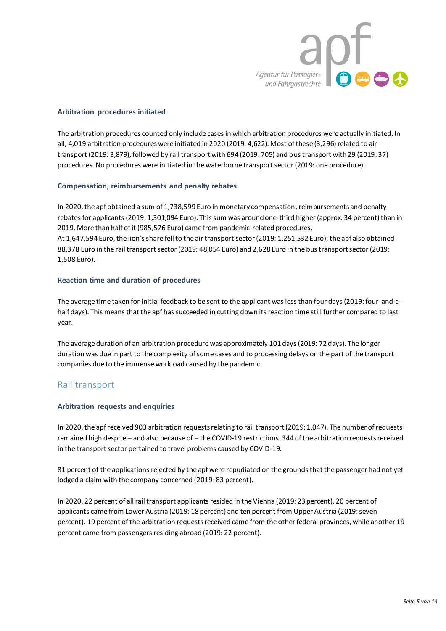

## **Arbitration procedures initiated**

The arbitration procedures counted only include cases in which arbitration procedures were actually initiated. In all, 4,019 arbitration procedures were initiated in 2020 (2019: 4,622). Most of these (3,296) related to air transport (2019: 3,879), followed by rail transport with 694 (2019: 705) and bus transport with 29 (2019: 37) procedures. No procedures were initiated in the waterborne transport sector (2019: one procedure).

## **Compensation, reimbursements and penalty rebates**

In 2020, the apf obtained a sum of 1,738,599 Euro in monetary compensation, reimbursements and penalty rebates for applicants (2019: 1,301,094 Euro). This sum was around one-third higher (approx. 34 percent) than in 2019. More than half of it (985,576 Euro) came from pandemic-related procedures. At 1,647,594 Euro, the lion's share fell to the air transport sector (2019: 1,251,532 Euro); the apf also obtained 88,378 Euro in the rail transport sector (2019: 48,054 Euro) and 2,628 Euro in the bus transport sector (2019: 1,508 Euro).

## **Reaction time and duration of procedures**

The average time taken for initial feedback to be sent to the applicant was less than four days (2019: four-and-ahalf days). This means that the apf has succeeded in cutting down its reaction time still further compared to last year.

The average duration of an arbitration procedure was approximately 101 days (2019: 72 days). The longer duration was due in part to the complexity of some cases and to processing delays on the part of the transport companies due to the immense workload caused by the pandemic.

# Rail transport

## **Arbitration requests and enquiries**

In 2020, the apf received 903 arbitration requests relating to rail transport (2019: 1,047). The number of requests remained high despite – and also because of – the COVID-19 restrictions. 344 of the arbitration requests received in the transport sector pertained to travel problems caused by COVID-19.

81 percent of the applications rejected by the apf were repudiated on the grounds that the passenger had not yet lodged a claim with the company concerned (2019: 83 percent).

In 2020, 22 percent of all rail transport applicants resided in the Vienna (2019: 23 percent). 20 percent of applicants came from Lower Austria (2019: 18 percent) and ten percent from Upper Austria (2019: seven percent). 19 percent of the arbitration requests received came from the other federal provinces, while another 19 percent came from passengers residing abroad (2019: 22 percent).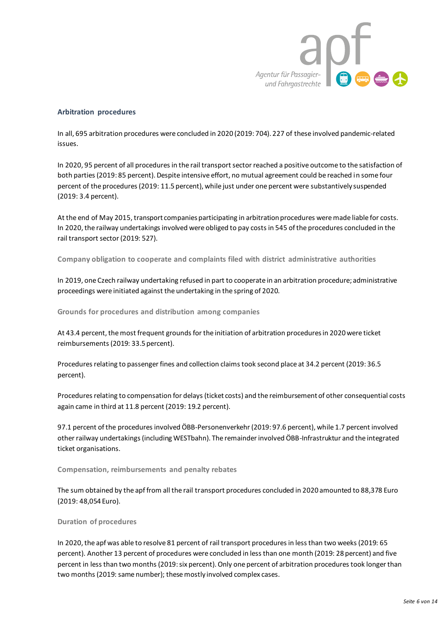

#### **Arbitration procedures**

In all, 695 arbitration procedures were concluded in 2020 (2019: 704). 227 of these involved pandemic-related issues.

In 2020, 95 percent of all procedures in the rail transport sector reached a positive outcome to the satisfaction of both parties (2019: 85 percent). Despite intensive effort, no mutual agreement could be reached in some four percent of the procedures (2019: 11.5 percent), while just under one percent were substantively suspended (2019: 3.4 percent).

At the end of May 2015, transport companies participating in arbitration procedures were made liable for costs. In 2020, the railway undertakings involved were obliged to pay costs in 545 of the procedures concluded in the rail transport sector (2019: 527).

**Company obligation to cooperate and complaints filed with district administrative authorities**

In 2019, one Czech railway undertaking refused in part to cooperate in an arbitration procedure; administrative proceedings were initiated against the undertaking in the spring of 2020.

**Grounds for procedures and distribution among companies**

At 43.4 percent, the most frequent grounds for the initiation of arbitration procedures in 2020 were ticket reimbursements (2019: 33.5 percent).

Procedures relating to passenger fines and collection claims took second place at 34.2 percent (2019: 36.5 percent).

Procedures relating to compensation for delays (ticket costs) and the reimbursement of other consequential costs again came in third at 11.8 percent (2019: 19.2 percent).

97.1 percent of the procedures involved ÖBB-Personenverkehr (2019: 97.6 percent), while 1.7 percent involved other railway undertakings (including WESTbahn). The remainder involved ÖBB-Infrastruktur and the integrated ticket organisations.

#### **Compensation, reimbursements and penalty rebates**

The sum obtained by the apf from all the rail transport procedures concluded in 2020 amounted to 88,378 Euro (2019: 48,054 Euro).

#### **Duration of procedures**

In 2020, the apf was able to resolve 81 percent of rail transport procedures in less than two weeks (2019: 65 percent). Another 13 percent of procedures were concluded in less than one month (2019: 28 percent) and five percent in less than two months (2019: six percent). Only one percent of arbitration procedures took longer than two months (2019: same number); these mostly involved complex cases.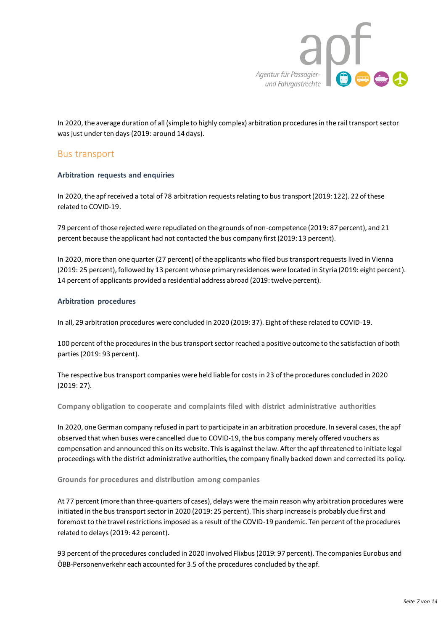

In 2020, the average duration of all (simple to highly complex) arbitration procedures in the rail transport sector was just under ten days (2019: around 14 days).

# Bus transport

## **Arbitration requests and enquiries**

In 2020, the apf received a total of 78 arbitration requests relating to bus transport (2019: 122). 22 of these related to COVID-19.

79 percent of those rejected were repudiated on the grounds of non-competence (2019: 87 percent), and 21 percent because the applicant had not contacted the bus company first (2019: 13 percent).

In 2020, more than one quarter (27 percent) of the applicants who filed bus transport requests lived in Vienna (2019: 25 percent), followed by 13 percent whose primary residences were located in Styria (2019: eight percent). 14 percent of applicants provided a residential address abroad (2019: twelve percent).

## **Arbitration procedures**

In all, 29 arbitration procedures were concluded in 2020 (2019: 37). Eight of these related to COVID-19.

100 percent of the procedures in the bus transport sector reached a positive outcome to the satisfaction of both parties (2019: 93 percent).

The respective bus transport companies were held liable for costs in 23 of the procedures concluded in 2020 (2019: 27).

**Company obligation to cooperate and complaints filed with district administrative authorities**

In 2020, one German company refused in part to participate in an arbitration procedure. In several cases, the apf observed that when buses were cancelled due to COVID-19, the bus company merely offered vouchers as compensation and announced this on its website. This is against the law. After the apf threatened to initiate legal proceedings with the district administrative authorities, the company finally backed down and corrected its policy.

#### **Grounds for procedures and distribution among companies**

At 77 percent (more than three-quarters of cases), delays were the main reason why arbitration procedures were initiated in the bus transport sector in 2020 (2019: 25 percent). This sharp increase is probably due first and foremost to the travel restrictions imposed as a result of the COVID-19 pandemic. Ten percent of the procedures related to delays (2019: 42 percent).

93 percent of the procedures concluded in 2020 involved Flixbus (2019: 97 percent). The companies Eurobus and ÖBB-Personenverkehr each accounted for 3.5 of the procedures concluded by the apf.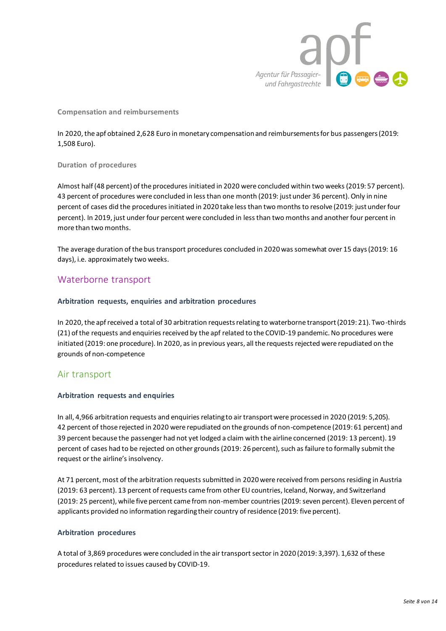

## **Compensation and reimbursements**

In 2020, the apf obtained 2,628 Euro in monetary compensation and reimbursements for bus passengers (2019: 1,508 Euro).

#### **Duration of procedures**

Almost half (48 percent) of the procedures initiated in 2020 were concluded within two weeks (2019: 57 percent). 43 percent of procedures were concluded in less than one month (2019: just under 36 percent). Only in nine percent of cases did the procedures initiated in 2020 take less than two months to resolve (2019: just under four percent). In 2019, just under four percent were concluded in less than two months and another four percent in more than two months.

The average duration of the bus transport procedures concluded in 2020 was somewhat over 15 days (2019: 16 days), i.e. approximately two weeks.

# Waterborne transport

## **Arbitration requests, enquiries and arbitration procedures**

In 2020, the apf received a total of 30 arbitration requests relating to waterborne transport (2019: 21). Two-thirds (21) of the requests and enquiries received by the apf related to the COVID-19 pandemic. No procedures were initiated (2019: one procedure). In 2020, as in previous years, all the requests rejected were repudiated on the grounds of non-competence

# Air transport

## **Arbitration requests and enquiries**

In all, 4,966 arbitration requests and enquiries relating to air transport were processed in 2020 (2019: 5,205). 42 percent of those rejected in 2020 were repudiated on the grounds of non-competence (2019: 61 percent) and 39 percent because the passenger had not yet lodged a claim with the airline concerned (2019: 13 percent). 19 percent of cases had to be rejected on other grounds (2019: 26 percent), such as failure to formally submit the request or the airline's insolvency.

At 71 percent, most of the arbitration requests submitted in 2020 were received from persons residing in Austria (2019: 63 percent). 13 percent of requests came from other EU countries, Iceland, Norway, and Switzerland (2019: 25 percent), while five percent came from non-member countries (2019: seven percent). Eleven percent of applicants provided no information regarding their country of residence (2019: five percent).

#### **Arbitration procedures**

A total of 3,869 procedures were concluded in the air transport sector in 2020 (2019: 3,397). 1,632 of these procedures related to issues caused by COVID-19.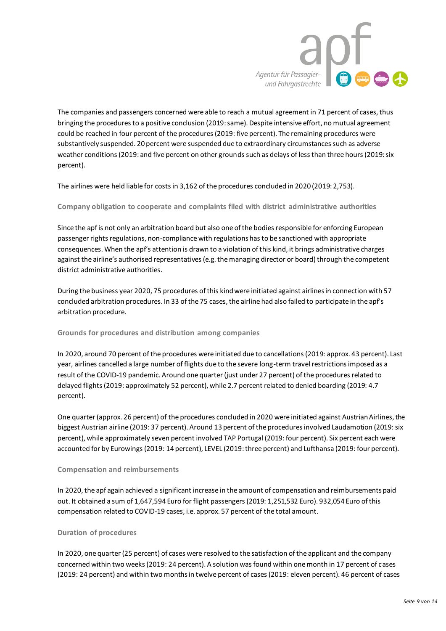

The companies and passengers concerned were able to reach a mutual agreement in 71 percent of cases, thus bringing the procedures to a positive conclusion (2019: same). Despite intensive effort, no mutual agreement could be reached in four percent of the procedures (2019: five percent). The remaining procedures were substantively suspended. 20 percent were suspended due to extraordinary circumstances such as adverse weather conditions (2019: and five percent on other grounds such as delays of less than three hours (2019: six percent).

The airlines were held liable for costs in 3,162 of the procedures concluded in 2020 (2019: 2,753).

**Company obligation to cooperate and complaints filed with district administrative authorities**

Since the apf is not only an arbitration board but also one of the bodies responsible for enforcing European passenger rights regulations, non-compliance with regulations has to be sanctioned with appropriate consequences. When the apf's attention is drawn to a violation of this kind, it brings administrative charges against the airline's authorised representatives (e.g. the managing director or board) through the competent district administrative authorities.

During the business year 2020, 75 procedures of this kind were initiated against airlines in connection with 57 concluded arbitration procedures. In 33 of the 75 cases, the airline had also failed to participate in the apf's arbitration procedure.

## **Grounds for procedures and distribution among companies**

In 2020, around 70 percent of the procedures were initiated due to cancellations (2019: approx. 43 percent). Last year, airlines cancelled a large number of flights due to the severe long-term travel restrictions imposed as a result of the COVID-19 pandemic. Around one quarter (just under 27 percent) of the procedures related to delayed flights (2019: approximately 52 percent), while 2.7 percent related to denied boarding (2019: 4.7 percent).

One quarter (approx. 26 percent) of the procedures concluded in 2020 were initiated against Austrian Airlines, the biggest Austrian airline (2019: 37 percent). Around 13 percent of the procedures involved Laudamotion (2019: six percent), while approximately seven percent involved TAP Portugal (2019: four percent). Six percent each were accounted for by Eurowings (2019: 14 percent), LEVEL (2019: three percent) and Lufthansa (2019: four percent).

#### **Compensation and reimbursements**

In 2020, the apf again achieved a significant increase in the amount of compensation and reimbursements paid out. It obtained a sum of 1,647,594 Euro for flight passengers (2019: 1,251,532 Euro). 932,054 Euro of this compensation related to COVID-19 cases, i.e. approx. 57 percent of the total amount.

#### **Duration of procedures**

In 2020, one quarter (25 percent) of cases were resolved to the satisfaction of the applicant and the company concerned within two weeks (2019: 24 percent). A solution was found within one month in 17 percent of cases (2019: 24 percent) and within two months in twelve percent of cases (2019: eleven percent). 46 percent of cases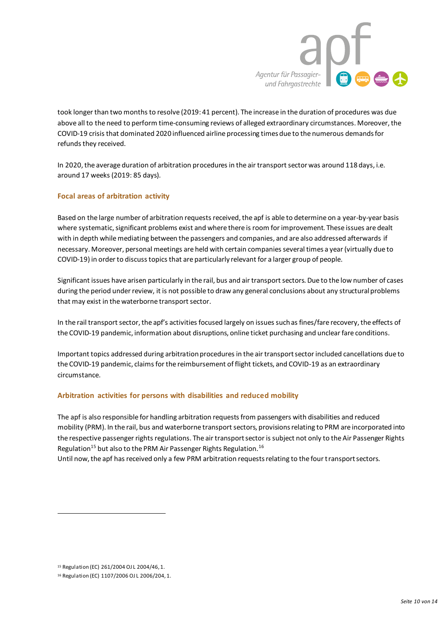

took longer than two months to resolve (2019: 41 percent). The increase in the duration of procedures was due above all to the need to perform time-consuming reviews of alleged extraordinary circumstances. Moreover, the COVID-19 crisis that dominated 2020 influenced airline processing times due to the numerous demands for refunds they received.

In 2020, the average duration of arbitration procedures in the air transport sector was around 118 days, i.e. around 17 weeks (2019: 85 days).

## **Focal areas of arbitration activity**

Based on the large number of arbitration requests received, the apf is able to determine on a year-by-year basis where systematic, significant problems exist and where there is room for improvement. These issues are dealt with in depth while mediating between the passengers and companies, and are also addressed afterwards if necessary. Moreover, personal meetings are held with certain companies several times a year (virtually due to COVID-19) in order to discuss topics that are particularly relevant for a larger group of people.

Significant issues have arisen particularly in the rail, bus and air transport sectors. Due to the low number of cases during the period under review, it is not possible to draw any general conclusions about any structural problems that may exist in the waterborne transport sector.

In the rail transport sector, the apf's activities focused largely on issues such as fines/fare recovery, the effects of the COVID-19 pandemic, information about disruptions, online ticket purchasing and unclear fare conditions.

Important topics addressed during arbitration procedures in the air transport sector included cancellations due to the COVID-19 pandemic, claims for the reimbursement of flight tickets, and COVID-19 as an extraordinary circumstance.

## **Arbitration activities for persons with disabilities and reduced mobility**

The apf is also responsible for handling arbitration requests from passengers with disabilities and reduced mobility (PRM). In the rail, bus and waterborne transport sectors, provisions relating to PRM are incorporated into the respective passenger rights regulations. The air transport sector is subject not only to the Air Passenger Rights Regulation<sup>15</sup> but also to the PRM Air Passenger Rights Regulation.<sup>16</sup>

Until now, the apf has received only a few PRM arbitration requests relating to the four transport sectors.

**.** 

<sup>15</sup> Regulation (EC) 261/2004 OJ L 2004/46, 1.

<sup>16</sup> Regulation (EC) 1107/2006 OJ L 2006/204, 1.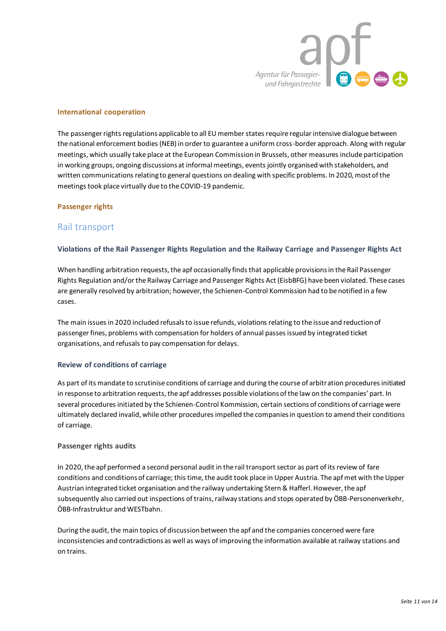

## **International cooperation**

The passenger rights regulations applicable to all EU member states require regular intensive dialogue between the national enforcement bodies (NEB) in order to guarantee a uniform cross-border approach. Along with regular meetings, which usually take place at the European Commission in Brussels, other measures include participation in working groups, ongoing discussions at informal meetings, events jointly organised with stakeholders, and written communications relating to general questions on dealing with specific problems. In 2020, most of the meetings took place virtually due to the COVID-19 pandemic.

#### **Passenger rights**

# Rail transport

## **Violations of the Rail Passenger Rights Regulation and the Railway Carriage and Passenger Rights Act**

When handling arbitration requests, the apf occasionally finds that applicable provisions in the Rail Passenger Rights Regulation and/or the Railway Carriage and Passenger Rights Act (EisbBFG) have been violated. These cases are generally resolved by arbitration; however, the Schienen-Control Kommission had to be notified in a few cases.

The main issues in 2020 included refusals to issue refunds, violations relating to the issue and reduction of passenger fines, problems with compensation for holders of annual passes issued by integrated ticket organisations, and refusals to pay compensation for delays.

#### **Review of conditions of carriage**

As part of its mandate to scrutinise conditions of carriage and during the course of arbitration procedures initiated in response to arbitration requests, the apf addresses possible violations of the law on the companies' part. In several procedures initiated by the Schienen-Control Kommission, certain sections of conditions of carriage were ultimately declared invalid, while other procedures impelled the companies in question to amend their conditions of carriage.

#### **Passenger rights audits**

In 2020, the apf performed a second personal audit in the rail transport sector as part of its review of fare conditions and conditions of carriage; this time, the audit took place in Upper Austria. The apf met with the Upper Austrian integrated ticket organisation and the railway undertaking Stern & Hafferl. However, the apf subsequently also carried out inspections of trains, railway stations and stops operated by ÖBB-Personenverkehr, ÖBB-Infrastruktur and WESTbahn.

During the audit, the main topics of discussion between the apf and the companies concerned were fare inconsistencies and contradictions as well as ways of improving the information available at railway stations and on trains.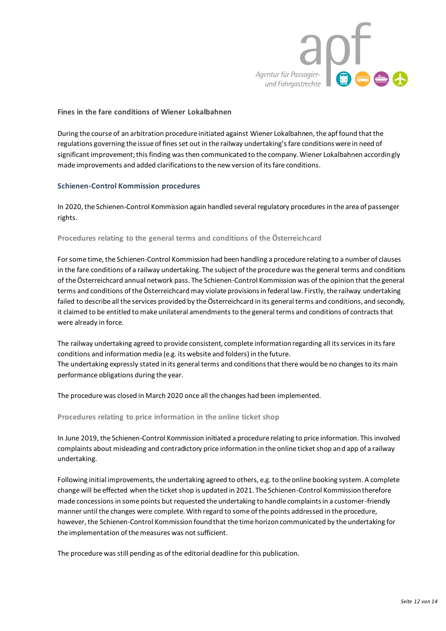

## **Fines in the fare conditions of Wiener Lokalbahnen**

During the course of an arbitration procedure initiated against Wiener Lokalbahnen, the apf found that the regulations governing the issue of fines set out in the railway undertaking's fare conditions were in need of significant improvement; this finding was then communicated to the company. Wiener Lokalbahnen accordingly made improvements and added clarifications to the new version of its fare conditions.

## **Schienen-Control Kommission procedures**

In 2020, the Schienen-Control Kommission again handled several regulatory procedures in the area of passenger rights.

#### **Procedures relating to the general terms and conditions of the Österreichcard**

For some time, the Schienen-Control Kommission had been handling a procedure relating to a number of clauses in the fare conditions of a railway undertaking. The subject of the procedure was the general terms and conditions of the Österreichcard annual network pass. The Schienen-Control Kommission was of the opinion that the general terms and conditions of the Österreichcard may violate provisions in federal law. Firstly, the railway undertaking failed to describe all the services provided by the Österreichcard in its general terms and conditions, and secondly, it claimed to be entitled to make unilateral amendments to the general terms and conditions of contracts that were already in force.

The railway undertaking agreed to provide consistent, complete information regarding all its services in its fare conditions and information media (e.g. its website and folders) in the future. The undertaking expressly stated in its general terms and conditions that there would be no changes to its main performance obligations during the year.

The procedure was closed in March 2020 once all the changes had been implemented.

**Procedures relating to price information in the online ticket shop** 

In June 2019, the Schienen-Control Kommission initiated a procedure relating to price information. This involved complaints about misleading and contradictory price information in the online ticket shop and app of a railway undertaking.

Following initial improvements, the undertaking agreed to others, e.g. to the online booking system. A complete change will be effected when the ticket shop is updated in 2021. The Schienen-Control Kommission therefore made concessions in some points but requested the undertaking to handle complaints in a customer-friendly manner until the changes were complete. With regard to some of the points addressed in the procedure, however, the Schienen-Control Kommission found that the time horizon communicated by the undertaking for the implementation of the measures was not sufficient.

The procedure was still pending as of the editorial deadline for this publication.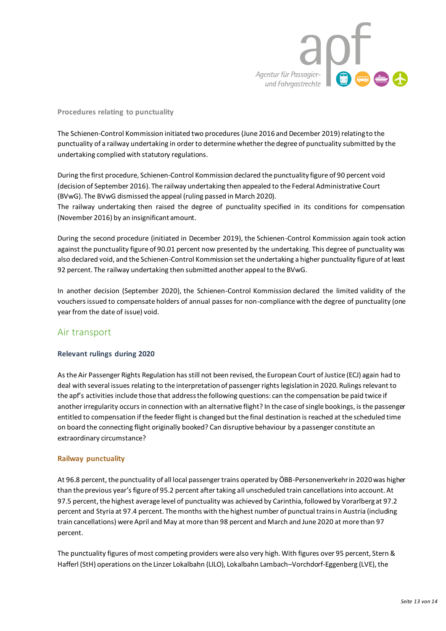

#### **Procedures relating to punctuality**

The Schienen-Control Kommission initiated two procedures (June 2016 and December 2019) relating to the punctuality of a railway undertaking in order to determine whether the degree of punctuality submitted by the undertaking complied with statutory regulations.

During the first procedure, Schienen-Control Kommission declared the punctuality figure of 90 percent void (decision of September 2016). The railway undertaking then appealed to the Federal Administrative Court (BVwG). The BVwG dismissed the appeal (ruling passed in March 2020). The railway undertaking then raised the degree of punctuality specified in its conditions for compensation

(November 2016) by an insignificant amount.

During the second procedure (initiated in December 2019), the Schienen-Control Kommission again took action against the punctuality figure of 90.01 percent now presented by the undertaking. This degree of punctuality was also declared void, and the Schienen-Control Kommission set the undertaking a higher punctuality figure of at least 92 percent. The railway undertaking then submitted another appeal to the BVwG.

In another decision (September 2020), the Schienen-Control Kommission declared the limited validity of the vouchers issued to compensate holders of annual passes for non-compliance with the degree of punctuality (one year from the date of issue) void.

# Air transport

#### **Relevant rulings during 2020**

As the Air Passenger Rights Regulation has still not been revised, the European Court of Justice (ECJ) again had to deal with several issues relating to the interpretation of passenger rights legislation in 2020. Rulings relevant to the apf's activities include those that address the following questions: can the compensation be paid twice if another irregularity occurs in connection with an alternative flight? In the case of single bookings, is the passenger entitled to compensation if the feeder flight is changed but the final destination is reached at the scheduled time on board the connecting flight originally booked? Can disruptive behaviour by a passenger constitute an extraordinary circumstance?

#### **Railway punctuality**

At 96.8 percent, the punctuality of all local passenger trains operated by ÖBB-Personenverkehr in 2020 was higher than the previous year's figure of 95.2 percent after taking all unscheduled train cancellations into account. At 97.5 percent, the highest average level of punctuality was achieved by Carinthia, followed by Vorarlberg at 97.2 percent and Styria at 97.4 percent. The months with the highest number of punctual trains in Austria (including train cancellations) were April and May at more than 98 percent and March and June 2020 at more than 97 percent.

The punctuality figures of most competing providers were also very high. With figures over 95 percent, Stern & Hafferl (StH) operations on the Linzer Lokalbahn (LILO), Lokalbahn Lambach–Vorchdorf-Eggenberg (LVE), the